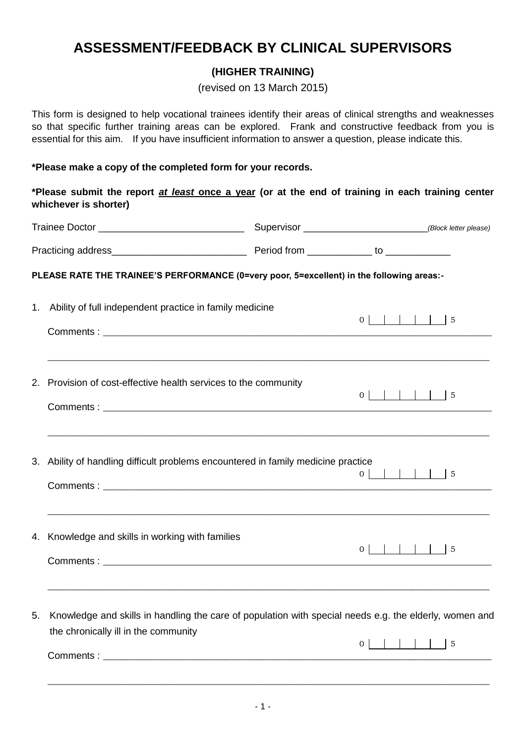# **ASSESSMENT/FEEDBACK BY CLINICAL SUPERVISORS**

### **(HIGHER TRAINING)**

(revised on 13 March 2015)

This form is designed to help vocational trainees identify their areas of clinical strengths and weaknesses so that specific further training areas can be explored. Frank and constructive feedback from you is essential for this aim. If you have insufficient information to answer a question, please indicate this.

#### **\*Please make a copy of the completed form for your records.**

**\*Please submit the report** *at least* **once a year (or at the end of training in each training center whichever is shorter)**

|             | PLEASE RATE THE TRAINEE'S PERFORMANCE (0=very poor, 5=excellent) in the following areas:-                                                                             |  |                 |  |
|-------------|-----------------------------------------------------------------------------------------------------------------------------------------------------------------------|--|-----------------|--|
| $1_{\cdot}$ | Ability of full independent practice in family medicine                                                                                                               |  |                 |  |
|             |                                                                                                                                                                       |  |                 |  |
|             | ,我们也不能在这里的时候,我们也不能在这里的时候,我们也不能在这里的时候,我们也不能会在这里的时候,我们也不能会在这里的时候,我们也不能会在这里的时候,我们也不能<br>2. Provision of cost-effective health services to the community                  |  | $0$           5 |  |
|             | ,我们也不能在这里的时候,我们也不能在这里的时候,我们也不能会不能会不能会不能会不能会不能会不能会不能会不能会不能会。""我们的是,我们也不能会不能会不能会不能<br>3. Ability of handling difficult problems encountered in family medicine practice |  | $0$           5 |  |
|             | 4. Knowledge and skills in working with families<br>,我们也不能在这里的时候,我们也不能在这里的时候,我们也不能在这里的时候,我们也不能会在这里的时候,我们也不能会在这里的时候,我们也不能会在这里的时候,我们也不能                                 |  | $0$           5 |  |
| 5.          | Knowledge and skills in handling the care of population with special needs e.g. the elderly, women and<br>the chronically ill in the community                        |  |                 |  |
|             |                                                                                                                                                                       |  |                 |  |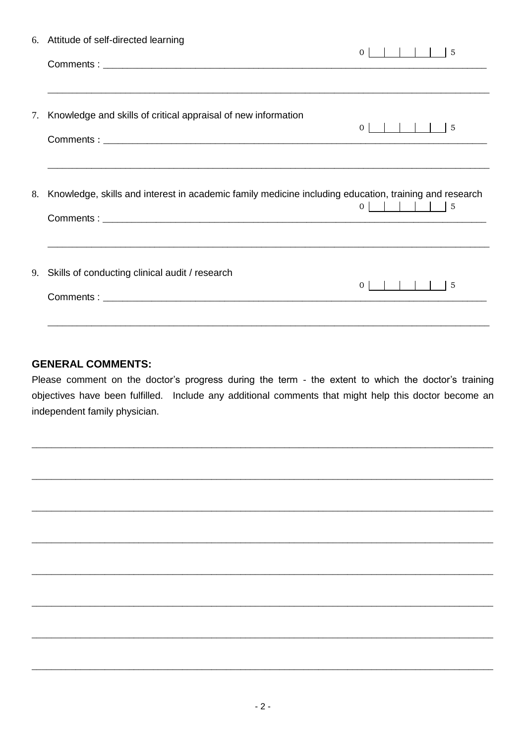|    | 6. Attitude of self-directed learning                                                                 | $         $ $    5$ |  |
|----|-------------------------------------------------------------------------------------------------------|---------------------|--|
|    |                                                                                                       | $\overline{0}$      |  |
| 7. | Knowledge and skills of critical appraisal of new information                                         | $0$           5     |  |
|    |                                                                                                       |                     |  |
| 8. | Knowledge, skills and interest in academic family medicine including education, training and research | $0$           5     |  |
|    | 9. Skills of conducting clinical audit / research                                                     | 5                   |  |
|    |                                                                                                       |                     |  |

## **GENERAL COMMENTS:**

Please comment on the doctor's progress during the term - the extent to which the doctor's training objectives have been fulfilled. Include any additional comments that might help this doctor become an independent family physician.